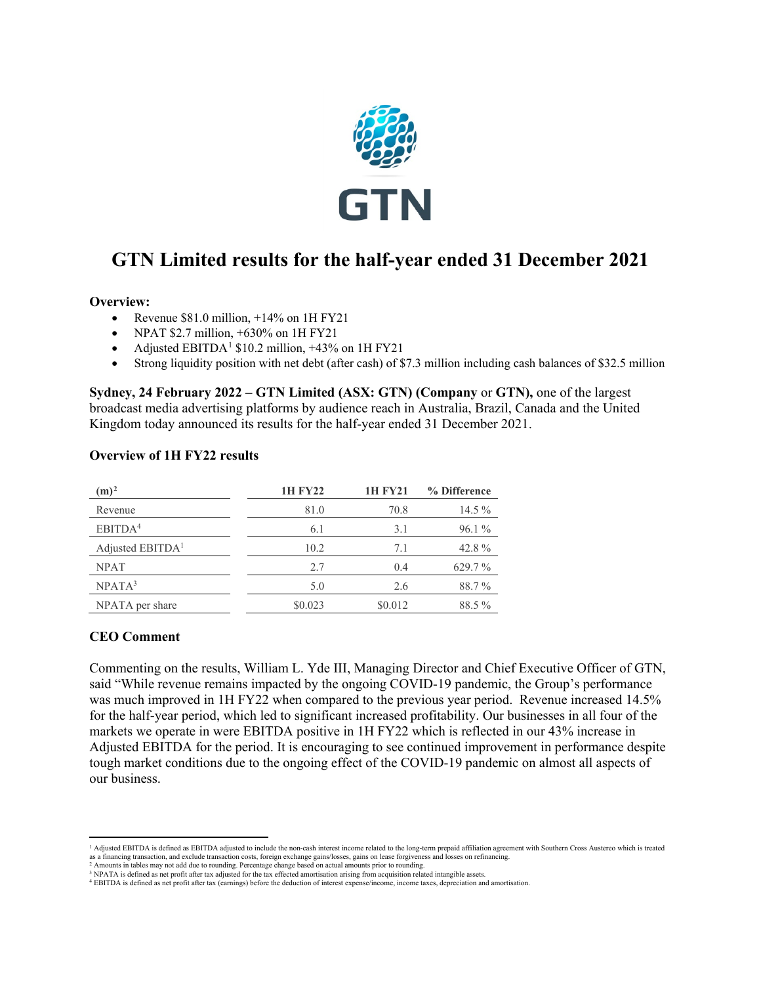

# **GTN Limited results for the half-year ended 31 December 2021**

#### **Overview:**

- Revenue  $$81.0 \text{ million}, +14\% \text{ on } 1H \text{ FY } 21$
- NPAT \$2.7 million,  $+630\%$  on 1H FY21
- Adjusted EBITDA<sup>[1](#page-0-0)</sup> \$10.2 million,  $+43\%$  on 1H FY21
- Strong liquidity position with net debt (after cash) of \$7.3 million including cash balances of \$32.5 million

**Sydney, 24 February 2022 – GTN Limited (ASX: GTN) (Company** or **GTN),** one of the largest broadcast media advertising platforms by audience reach in Australia, Brazil, Canada and the United Kingdom today announced its results for the half-year ended 31 December 2021.

#### **Overview of 1H FY22 results**

| $(m)^2$                      | <b>1H FY22</b> | <b>1H FY21</b> | % Difference |
|------------------------------|----------------|----------------|--------------|
| Revenue                      | 81.0           | 70.8           | $14.5\%$     |
| EBITDA <sup>4</sup>          | 6.1            | 3.1            | 96.1%        |
| Adjusted EBITDA <sup>1</sup> | 10.2           | 7.1            | 42.8%        |
| <b>NPAT</b>                  | 2.7            | 0.4            | 629.7%       |
| NPATA <sup>3</sup>           | 5.0            | 2.6            | 88.7%        |
| NPATA per share              | \$0.023        | \$0.012        | 88.5%        |

#### **CEO Comment**

Commenting on the results, William L. Yde III, Managing Director and Chief Executive Officer of GTN, said "While revenue remains impacted by the ongoing COVID-19 pandemic, the Group's performance was much improved in 1H FY22 when compared to the previous year period. Revenue increased 14.5% for the half-year period, which led to significant increased profitability. Our businesses in all four of the markets we operate in were EBITDA positive in 1H FY22 which is reflected in our 43% increase in Adjusted EBITDA for the period. It is encouraging to see continued improvement in performance despite tough market conditions due to the ongoing effect of the COVID-19 pandemic on almost all aspects of our business.

<span id="page-0-0"></span><sup>&</sup>lt;sup>1</sup> Adjusted EBITDA is defined as EBITDA adjusted to include the non-cash interest income related to the long-term prepaid affiliation agreement with Southern Cross Austereo which is treated as a financing transaction, and exclude transaction costs, foreign exchange gains/losses, gains on lease forgiveness and losses on refinancing.<br><sup>2</sup> Amounts in tables may not add due to rounding. Percentage change based on

<span id="page-0-1"></span><sup>3</sup> NPATA is defined as net profit after tax adjusted for the tax effected amortisation arising from acquisition related intangible assets.

<sup>4</sup> EBITDA is defined as net profit after tax (earnings) before the deduction of interest expense/income, income taxes, depreciation and amortisation.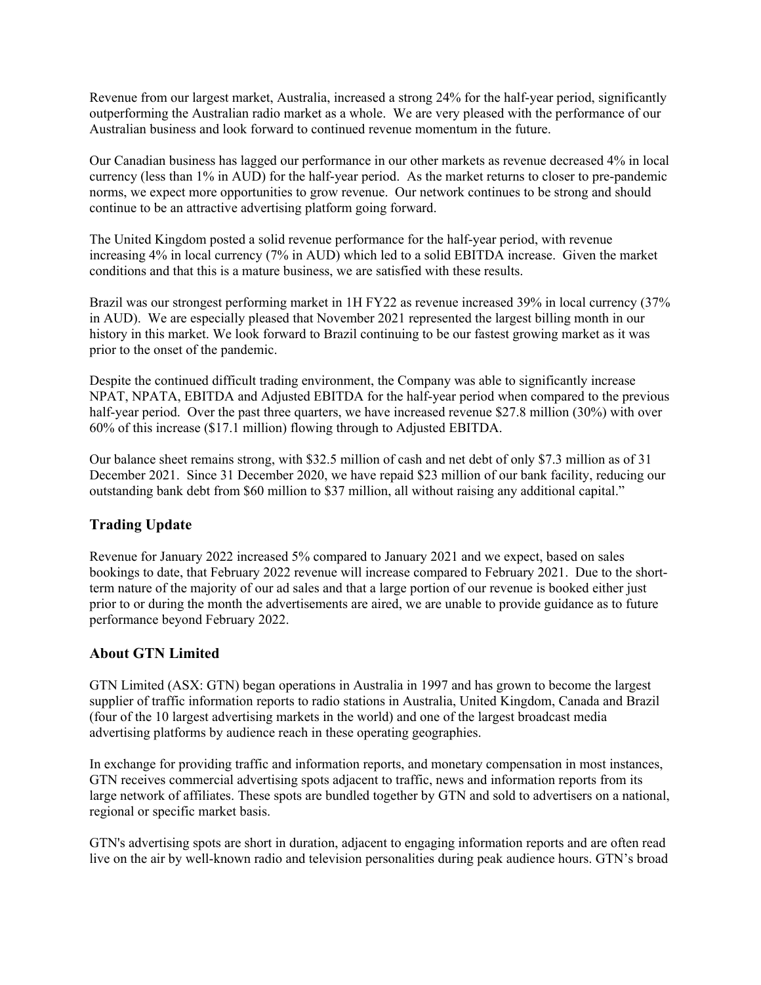Revenue from our largest market, Australia, increased a strong 24% for the half-year period, significantly outperforming the Australian radio market as a whole. We are very pleased with the performance of our Australian business and look forward to continued revenue momentum in the future.

Our Canadian business has lagged our performance in our other markets as revenue decreased 4% in local currency (less than 1% in AUD) for the half-year period. As the market returns to closer to pre-pandemic norms, we expect more opportunities to grow revenue. Our network continues to be strong and should continue to be an attractive advertising platform going forward.

The United Kingdom posted a solid revenue performance for the half-year period, with revenue increasing 4% in local currency (7% in AUD) which led to a solid EBITDA increase. Given the market conditions and that this is a mature business, we are satisfied with these results.

Brazil was our strongest performing market in 1H FY22 as revenue increased 39% in local currency (37% in AUD). We are especially pleased that November 2021 represented the largest billing month in our history in this market. We look forward to Brazil continuing to be our fastest growing market as it was prior to the onset of the pandemic.

Despite the continued difficult trading environment, the Company was able to significantly increase NPAT, NPATA, EBITDA and Adjusted EBITDA for the half-year period when compared to the previous half-year period. Over the past three quarters, we have increased revenue \$27.8 million (30%) with over 60% of this increase (\$17.1 million) flowing through to Adjusted EBITDA.

Our balance sheet remains strong, with \$32.5 million of cash and net debt of only \$7.3 million as of 31 December 2021. Since 31 December 2020, we have repaid \$23 million of our bank facility, reducing our outstanding bank debt from \$60 million to \$37 million, all without raising any additional capital."

# **Trading Update**

Revenue for January 2022 increased 5% compared to January 2021 and we expect, based on sales bookings to date, that February 2022 revenue will increase compared to February 2021. Due to the shortterm nature of the majority of our ad sales and that a large portion of our revenue is booked either just prior to or during the month the advertisements are aired, we are unable to provide guidance as to future performance beyond February 2022.

## **About GTN Limited**

GTN Limited (ASX: GTN) began operations in Australia in 1997 and has grown to become the largest supplier of traffic information reports to radio stations in Australia, United Kingdom, Canada and Brazil (four of the 10 largest advertising markets in the world) and one of the largest broadcast media advertising platforms by audience reach in these operating geographies.

In exchange for providing traffic and information reports, and monetary compensation in most instances, GTN receives commercial advertising spots adjacent to traffic, news and information reports from its large network of affiliates. These spots are bundled together by GTN and sold to advertisers on a national, regional or specific market basis.

GTN's advertising spots are short in duration, adjacent to engaging information reports and are often read live on the air by well-known radio and television personalities during peak audience hours. GTN's broad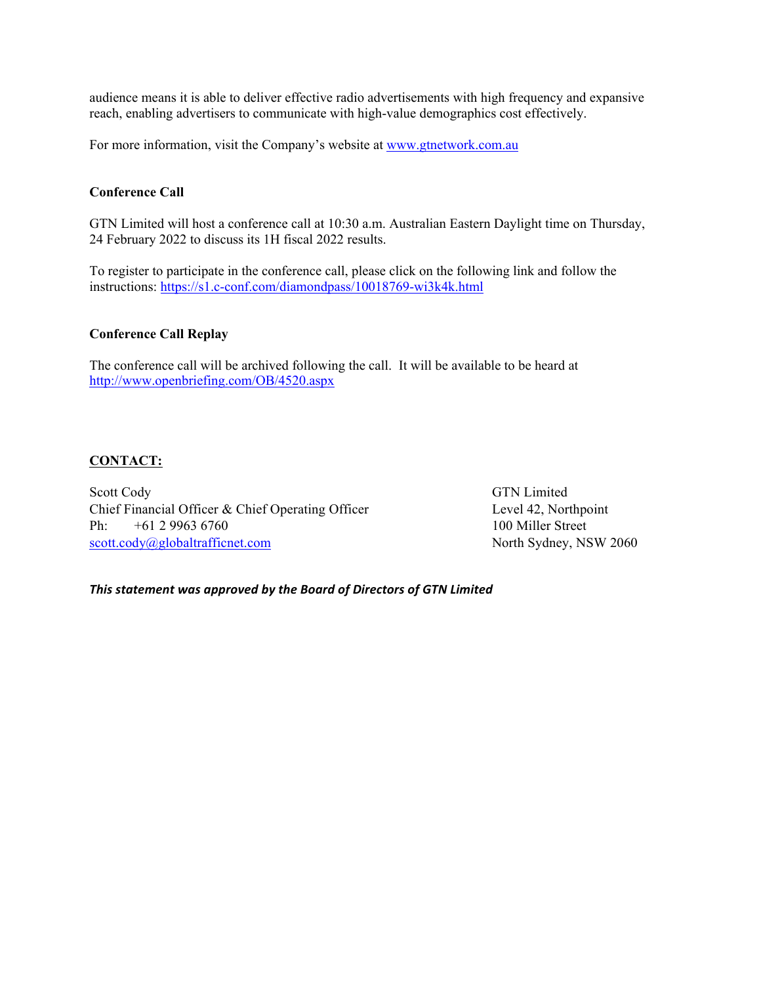audience means it is able to deliver effective radio advertisements with high frequency and expansive reach, enabling advertisers to communicate with high-value demographics cost effectively.

For more information, visit the Company's website at [www.gtnetwork.com.au](http://www.gtnetwork.com.au/)

#### **Conference Call**

GTN Limited will host a conference call at 10:30 a.m. Australian Eastern Daylight time on Thursday, 24 February 2022 to discuss its 1H fiscal 2022 results.

To register to participate in the conference call, please click on the following link and follow the instructions: <https://s1.c-conf.com/diamondpass/10018769-wi3k4k.html>

#### **Conference Call Replay**

The conference call will be archived following the call. It will be available to be heard at <http://www.openbriefing.com/OB/4520.aspx>

#### **CONTACT:**

Scott Cody GTN Limited Chief Financial Officer & Chief Operating Officer Level 42, Northpoint Ph: +61 2 9963 6760 100 Miller Street [scott.cody@globaltrafficnet.com](mailto:scott.cody@globaltrafficnet.com) North Sydney, NSW 2060

*This statement was approved by the Board of Directors of GTN Limited*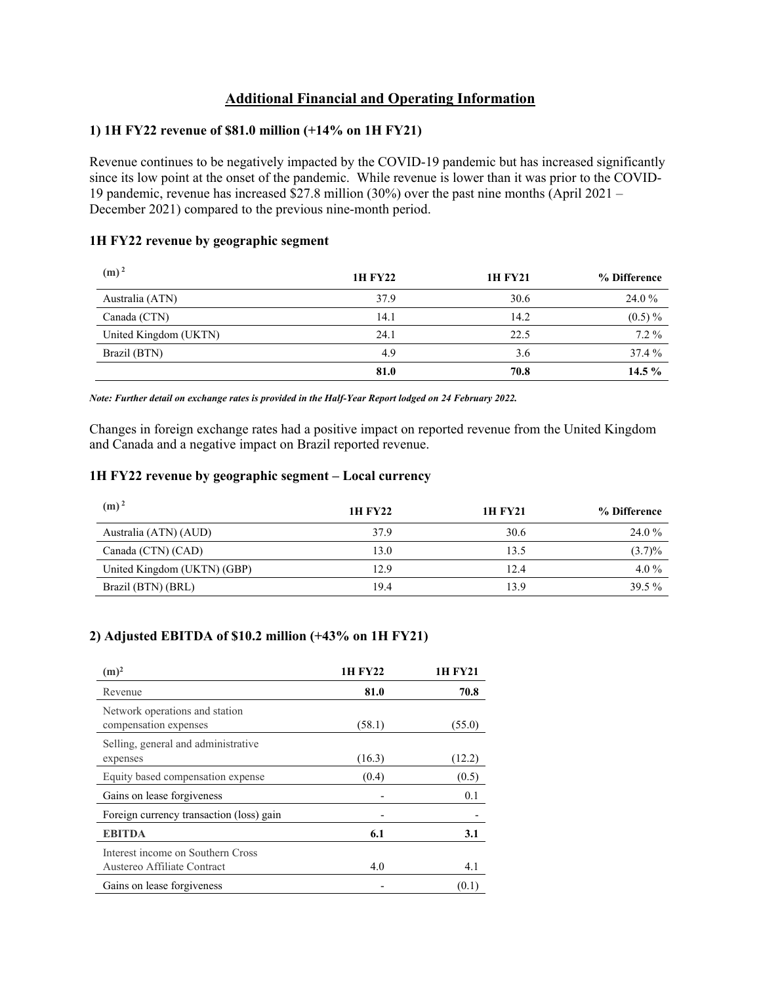# **Additional Financial and Operating Information**

#### **1) 1H FY22 revenue of \$81.0 million (+14% on 1H FY21)**

Revenue continues to be negatively impacted by the COVID-19 pandemic but has increased significantly since its low point at the onset of the pandemic. While revenue is lower than it was prior to the COVID-19 pandemic, revenue has increased  $$27.8$  million (30%) over the past nine months (April 2021 – December 2021) compared to the previous nine-month period.

#### **1H FY22 revenue by geographic segment**

| (m) <sup>2</sup>      | 1H FY22 | <b>1H FY21</b> | % Difference |
|-----------------------|---------|----------------|--------------|
| Australia (ATN)       | 37.9    | 30.6           | 24.0 %       |
| Canada (CTN)          | 14.1    | 14.2           | $(0.5) \%$   |
| United Kingdom (UKTN) | 24.1    | 22.5           | $7.2\%$      |
| Brazil (BTN)          | 4.9     | 3.6            | 37.4 %       |
|                       | 81.0    | 70.8           | 14.5 $%$     |

*Note: Further detail on exchange rates is provided in the Half-Year Report lodged on 24 February 2022.*

Changes in foreign exchange rates had a positive impact on reported revenue from the United Kingdom and Canada and a negative impact on Brazil reported revenue.

#### **1H FY22 revenue by geographic segment – Local currency**

| $(m)^2$                     | <b>1H FY22</b> | 1H FY21 | % Difference |
|-----------------------------|----------------|---------|--------------|
| Australia (ATN) (AUD)       | 37.9           | 30.6    | 24.0 %       |
| Canada (CTN) (CAD)          | 13.0           | 13.5    | $(3.7)\%$    |
| United Kingdom (UKTN) (GBP) | 12.9           | 12.4    | 4.0 $%$      |
| Brazil (BTN) (BRL)          | 19.4           | 13.9    | 39.5%        |

## **2) Adjusted EBITDA of \$10.2 million (+43% on 1H FY21)**

| $(m)^2$                                                          | 1H FY22 | 1H FY21 |
|------------------------------------------------------------------|---------|---------|
| Revenue                                                          | 81.0    | 70.8    |
| Network operations and station<br>compensation expenses          | (58.1)  | (55.0)  |
| Selling, general and administrative<br>expenses                  | (16.3)  | (12.2)  |
| Equity based compensation expense                                | (0.4)   | (0.5)   |
| Gains on lease forgiveness                                       |         | 0.1     |
| Foreign currency transaction (loss) gain                         |         |         |
| <b>EBITDA</b>                                                    | 6.1     | 3.1     |
| Interest income on Southern Cross<br>Austereo Affiliate Contract | 4.0     | 4.1     |
| Gains on lease forgiveness                                       |         | (0.1)   |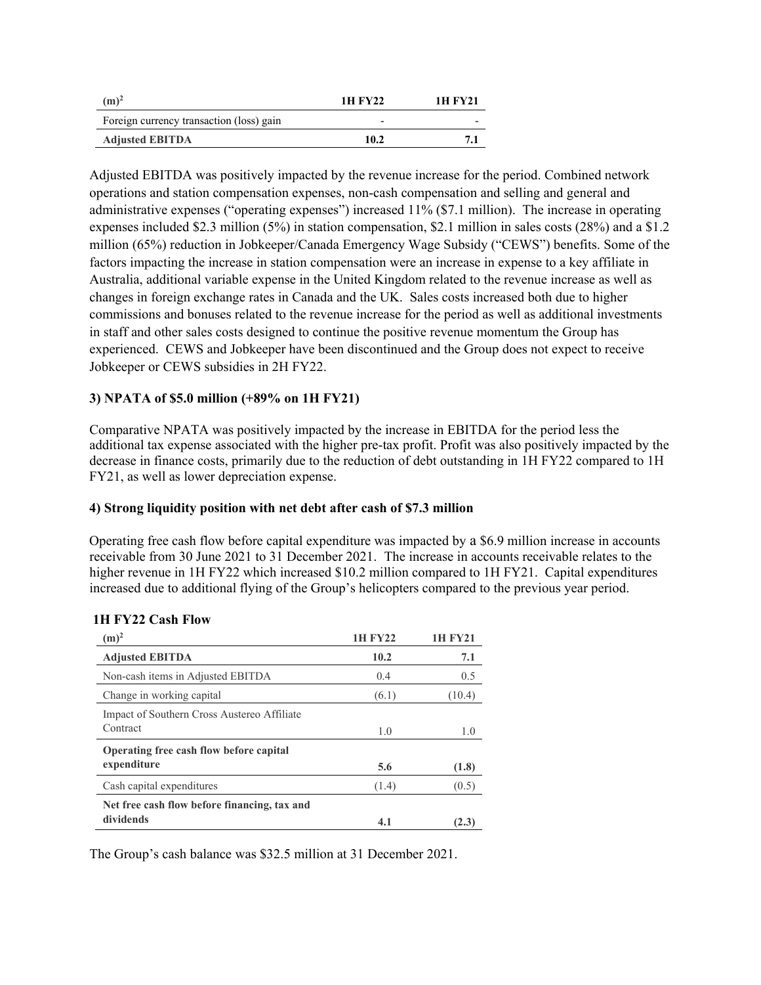| $(m)^2$                                  | 1H FY22                  | 1H FV21 |
|------------------------------------------|--------------------------|---------|
| Foreign currency transaction (loss) gain | $\overline{\phantom{0}}$ |         |
| <b>Adjusted EBITDA</b>                   | 10.2                     |         |

Adjusted EBITDA was positively impacted by the revenue increase for the period. Combined network operations and station compensation expenses, non-cash compensation and selling and general and administrative expenses ("operating expenses") increased 11% (\$7.1 million). The increase in operating expenses included \$2.3 million (5%) in station compensation, \$2.1 million in sales costs (28%) and a \$1.2 million (65%) reduction in Jobkeeper/Canada Emergency Wage Subsidy ("CEWS") benefits. Some of the factors impacting the increase in station compensation were an increase in expense to a key affiliate in Australia, additional variable expense in the United Kingdom related to the revenue increase as well as changes in foreign exchange rates in Canada and the UK. Sales costs increased both due to higher commissions and bonuses related to the revenue increase for the period as well as additional investments in staff and other sales costs designed to continue the positive revenue momentum the Group has experienced. CEWS and Jobkeeper have been discontinued and the Group does not expect to receive Jobkeeper or CEWS subsidies in 2H FY22.

#### **3) NPATA of \$5.0 million (+89% on 1H FY21)**

Comparative NPATA was positively impacted by the increase in EBITDA for the period less the additional tax expense associated with the higher pre-tax profit. Profit was also positively impacted by the decrease in finance costs, primarily due to the reduction of debt outstanding in 1H FY22 compared to 1H FY21, as well as lower depreciation expense.

#### **4) Strong liquidity position with net debt after cash of \$7.3 million**

Operating free cash flow before capital expenditure was impacted by a \$6.9 million increase in accounts receivable from 30 June 2021 to 31 December 2021. The increase in accounts receivable relates to the higher revenue in 1H FY22 which increased \$10.2 million compared to 1H FY21. Capital expenditures increased due to additional flying of the Group's helicopters compared to the previous year period.

| 1H FY22 Cash Flow |  |
|-------------------|--|
|-------------------|--|

| $(m)^2$                                                   | 1H FY22 |        |
|-----------------------------------------------------------|---------|--------|
| <b>Adjusted EBITDA</b>                                    | 10.2    | 7.1    |
| Non-cash items in Adjusted EBITDA                         | 0.4     | 0.5    |
| Change in working capital                                 | (6.1)   | (10.4) |
| Impact of Southern Cross Austereo Affiliate<br>Contract   | 1.0     | 1.0    |
| Operating free cash flow before capital<br>expenditure    | 5.6     | (1.8)  |
| Cash capital expenditures                                 | (1.4)   | (0.5)  |
| Net free cash flow before financing, tax and<br>dividends | 4.1     | (2.3)  |

The Group's cash balance was \$32.5 million at 31 December 2021.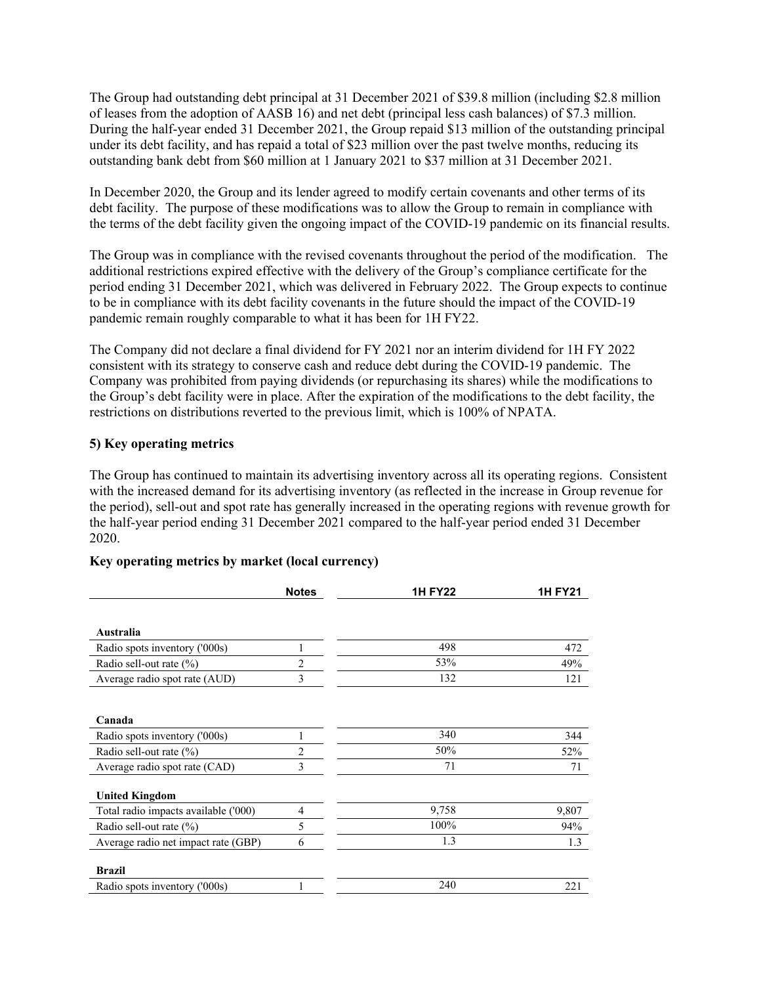The Group had outstanding debt principal at 31 December 2021 of \$39.8 million (including \$2.8 million of leases from the adoption of AASB 16) and net debt (principal less cash balances) of \$7.3 million. During the half-year ended 31 December 2021, the Group repaid \$13 million of the outstanding principal under its debt facility, and has repaid a total of \$23 million over the past twelve months, reducing its outstanding bank debt from \$60 million at 1 January 2021 to \$37 million at 31 December 2021.

In December 2020, the Group and its lender agreed to modify certain covenants and other terms of its debt facility. The purpose of these modifications was to allow the Group to remain in compliance with the terms of the debt facility given the ongoing impact of the COVID-19 pandemic on its financial results.

The Group was in compliance with the revised covenants throughout the period of the modification. The additional restrictions expired effective with the delivery of the Group's compliance certificate for the period ending 31 December 2021, which was delivered in February 2022. The Group expects to continue to be in compliance with its debt facility covenants in the future should the impact of the COVID-19 pandemic remain roughly comparable to what it has been for 1H FY22.

The Company did not declare a final dividend for FY 2021 nor an interim dividend for 1H FY 2022 consistent with its strategy to conserve cash and reduce debt during the COVID-19 pandemic. The Company was prohibited from paying dividends (or repurchasing its shares) while the modifications to the Group's debt facility were in place. After the expiration of the modifications to the debt facility, the restrictions on distributions reverted to the previous limit, which is 100% of NPATA.

#### **5) Key operating metrics**

The Group has continued to maintain its advertising inventory across all its operating regions. Consistent with the increased demand for its advertising inventory (as reflected in the increase in Group revenue for the period), sell-out and spot rate has generally increased in the operating regions with revenue growth for the half-year period ending 31 December 2021 compared to the half-year period ended 31 December 2020.

|                                      | <b>Notes</b>   | <b>1H FY22</b> | <b>1H FY21</b> |
|--------------------------------------|----------------|----------------|----------------|
|                                      |                |                |                |
| Australia                            |                |                |                |
| Radio spots inventory ('000s)        | н              | 498            | 472            |
| Radio sell-out rate $(\%)$           | 2              | 53%            | 49%            |
| Average radio spot rate (AUD)        | 3              | 132            | 121            |
|                                      |                |                |                |
| Canada                               |                |                |                |
| Radio spots inventory ('000s)        |                | 340            | 344            |
| Radio sell-out rate $(\%)$           | $\overline{2}$ | 50%            | 52%            |
| Average radio spot rate (CAD)        | 3              | 71             | 71             |
| <b>United Kingdom</b>                |                |                |                |
| Total radio impacts available ('000) | $\overline{4}$ | 9,758          | 9,807          |
| Radio sell-out rate (%)              | 5              | 100%           | 94%            |
| Average radio net impact rate (GBP)  | 6              | 1.3            | 1.3            |
| <b>Brazil</b>                        |                |                |                |
| Radio spots inventory ('000s)        |                | 240            | 221            |

## **Key operating metrics by market (local currency)**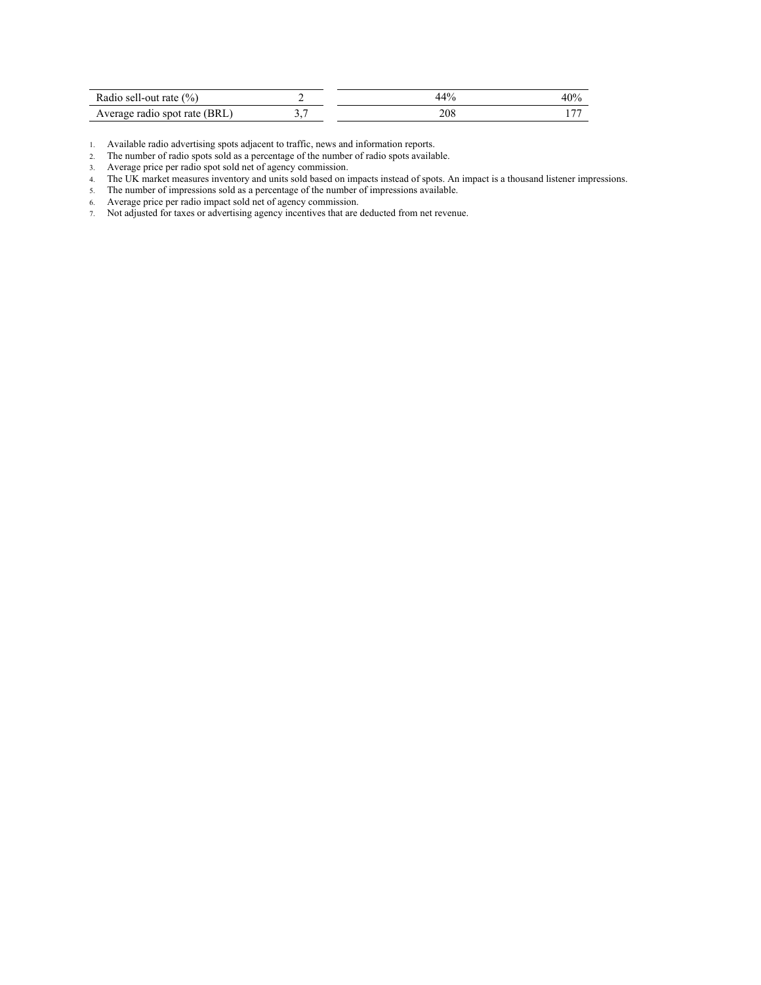| Radio sell-out rate $(\% )$   |     | 40% |
|-------------------------------|-----|-----|
| Average radio spot rate (BRL) | 208 |     |

1. Available radio advertising spots adjacent to traffic, news and information reports.

2. The number of radio spots sold as a percentage of the number of radio spots available.

3. Average price per radio spot sold net of agency commission.

4. The UK market measures inventory and units sold based on impacts instead of spots. An impact is a thousand listener impressions.

5. The number of impressions sold as a percentage of the number of impressions available.

6. Average price per radio impact sold net of agency commission.

7. Not adjusted for taxes or advertising agency incentives that are deducted from net revenue.